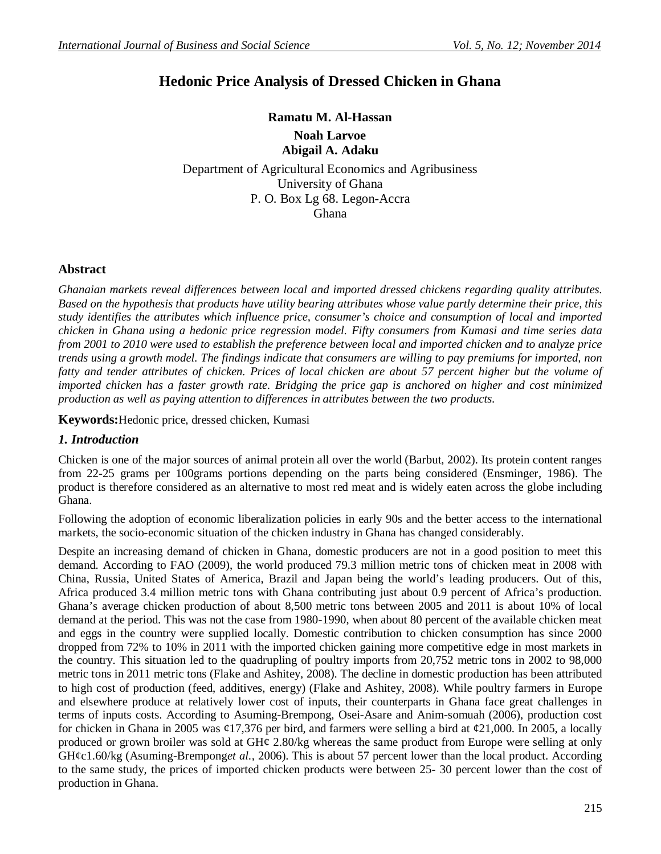# **Hedonic Price Analysis of Dressed Chicken in Ghana**

**Ramatu M. Al-Hassan Noah Larvoe Abigail A. Adaku**

Department of Agricultural Economics and Agribusiness University of Ghana P. O. Box Lg 68. Legon-Accra Ghana

### **Abstract**

*Ghanaian markets reveal differences between local and imported dressed chickens regarding quality attributes. Based on the hypothesis that products have utility bearing attributes whose value partly determine their price, this study identifies the attributes which influence price, consumer's choice and consumption of local and imported chicken in Ghana using a hedonic price regression model. Fifty consumers from Kumasi and time series data from 2001 to 2010 were used to establish the preference between local and imported chicken and to analyze price trends using a growth model. The findings indicate that consumers are willing to pay premiums for imported, non*  fatty and tender attributes of chicken. Prices of local chicken are about 57 percent higher but the volume of *imported chicken has a faster growth rate. Bridging the price gap is anchored on higher and cost minimized production as well as paying attention to differences in attributes between the two products.* 

**Keywords:**Hedonic price, dressed chicken, Kumasi

### *1. Introduction*

Chicken is one of the major sources of animal protein all over the world (Barbut, 2002). Its protein content ranges from 22-25 grams per 100grams portions depending on the parts being considered (Ensminger, 1986). The product is therefore considered as an alternative to most red meat and is widely eaten across the globe including Ghana.

Following the adoption of economic liberalization policies in early 90s and the better access to the international markets, the socio-economic situation of the chicken industry in Ghana has changed considerably.

Despite an increasing demand of chicken in Ghana, domestic producers are not in a good position to meet this demand. According to FAO (2009), the world produced 79.3 million metric tons of chicken meat in 2008 with China, Russia, United States of America, Brazil and Japan being the world's leading producers. Out of this, Africa produced 3.4 million metric tons with Ghana contributing just about 0.9 percent of Africa's production. Ghana's average chicken production of about 8,500 metric tons between 2005 and 2011 is about 10% of local demand at the period. This was not the case from 1980-1990, when about 80 percent of the available chicken meat and eggs in the country were supplied locally. Domestic contribution to chicken consumption has since 2000 dropped from 72% to 10% in 2011 with the imported chicken gaining more competitive edge in most markets in the country. This situation led to the quadrupling of poultry imports from 20,752 metric tons in 2002 to 98,000 metric tons in 2011 metric tons (Flake and Ashitey, 2008). The decline in domestic production has been attributed to high cost of production (feed, additives, energy) (Flake and Ashitey, 2008). While poultry farmers in Europe and elsewhere produce at relatively lower cost of inputs, their counterparts in Ghana face great challenges in terms of inputs costs. According to Asuming-Brempong, Osei-Asare and Anim-somuah (2006), production cost for chicken in Ghana in 2005 was  $\varphi$ 17,376 per bird, and farmers were selling a bird at  $\varphi$ 21,000. In 2005, a locally produced or grown broiler was sold at GH¢ 2.80/kg whereas the same product from Europe were selling at only GH¢c1.60/kg (Asuming-Brempong*et al.,* 2006). This is about 57 percent lower than the local product. According to the same study, the prices of imported chicken products were between 25- 30 percent lower than the cost of production in Ghana.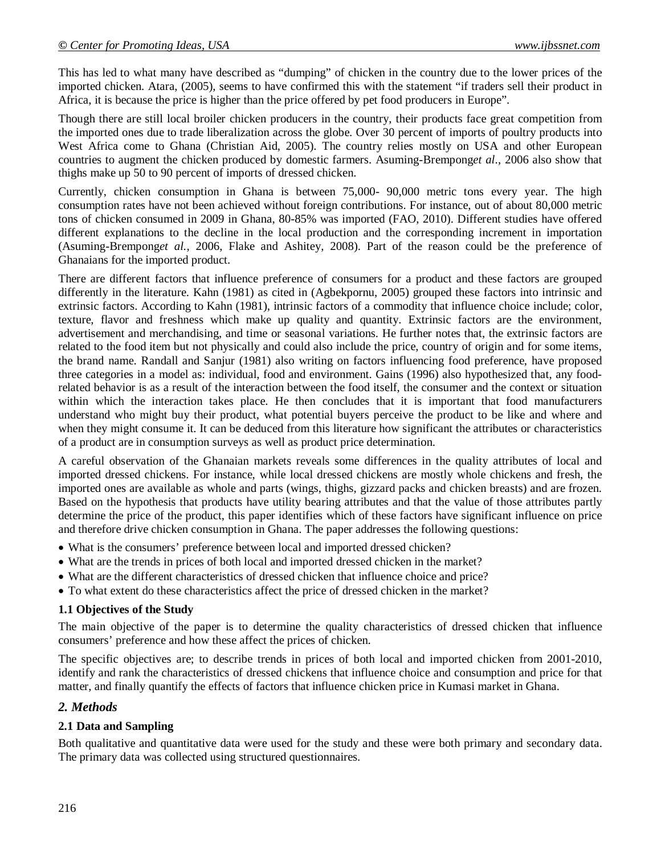This has led to what many have described as "dumping" of chicken in the country due to the lower prices of the imported chicken. Atara, (2005), seems to have confirmed this with the statement "if traders sell their product in Africa, it is because the price is higher than the price offered by pet food producers in Europe".

Though there are still local broiler chicken producers in the country, their products face great competition from the imported ones due to trade liberalization across the globe. Over 30 percent of imports of poultry products into West Africa come to Ghana (Christian Aid, 2005). The country relies mostly on USA and other European countries to augment the chicken produced by domestic farmers. Asuming-Brempong*et al*., 2006 also show that thighs make up 50 to 90 percent of imports of dressed chicken.

Currently, chicken consumption in Ghana is between 75,000- 90,000 metric tons every year. The high consumption rates have not been achieved without foreign contributions. For instance, out of about 80,000 metric tons of chicken consumed in 2009 in Ghana, 80-85% was imported (FAO, 2010). Different studies have offered different explanations to the decline in the local production and the corresponding increment in importation (Asuming-Brempong*et al.,* 2006, Flake and Ashitey, 2008). Part of the reason could be the preference of Ghanaians for the imported product.

There are different factors that influence preference of consumers for a product and these factors are grouped differently in the literature. Kahn (1981) as cited in (Agbekpornu, 2005) grouped these factors into intrinsic and extrinsic factors. According to Kahn (1981), intrinsic factors of a commodity that influence choice include; color, texture, flavor and freshness which make up quality and quantity. Extrinsic factors are the environment, advertisement and merchandising, and time or seasonal variations. He further notes that, the extrinsic factors are related to the food item but not physically and could also include the price, country of origin and for some items, the brand name. Randall and Sanjur (1981) also writing on factors influencing food preference, have proposed three categories in a model as: individual, food and environment. Gains (1996) also hypothesized that, any foodrelated behavior is as a result of the interaction between the food itself, the consumer and the context or situation within which the interaction takes place. He then concludes that it is important that food manufacturers understand who might buy their product, what potential buyers perceive the product to be like and where and when they might consume it. It can be deduced from this literature how significant the attributes or characteristics of a product are in consumption surveys as well as product price determination.

A careful observation of the Ghanaian markets reveals some differences in the quality attributes of local and imported dressed chickens. For instance, while local dressed chickens are mostly whole chickens and fresh, the imported ones are available as whole and parts (wings, thighs, gizzard packs and chicken breasts) and are frozen. Based on the hypothesis that products have utility bearing attributes and that the value of those attributes partly determine the price of the product, this paper identifies which of these factors have significant influence on price and therefore drive chicken consumption in Ghana. The paper addresses the following questions:

- What is the consumers' preference between local and imported dressed chicken?
- What are the trends in prices of both local and imported dressed chicken in the market?
- What are the different characteristics of dressed chicken that influence choice and price?
- To what extent do these characteristics affect the price of dressed chicken in the market?

#### **1.1 Objectives of the Study**

The main objective of the paper is to determine the quality characteristics of dressed chicken that influence consumers' preference and how these affect the prices of chicken.

The specific objectives are; to describe trends in prices of both local and imported chicken from 2001-2010, identify and rank the characteristics of dressed chickens that influence choice and consumption and price for that matter, and finally quantify the effects of factors that influence chicken price in Kumasi market in Ghana.

### *2. Methods*

#### **2.1 Data and Sampling**

Both qualitative and quantitative data were used for the study and these were both primary and secondary data. The primary data was collected using structured questionnaires.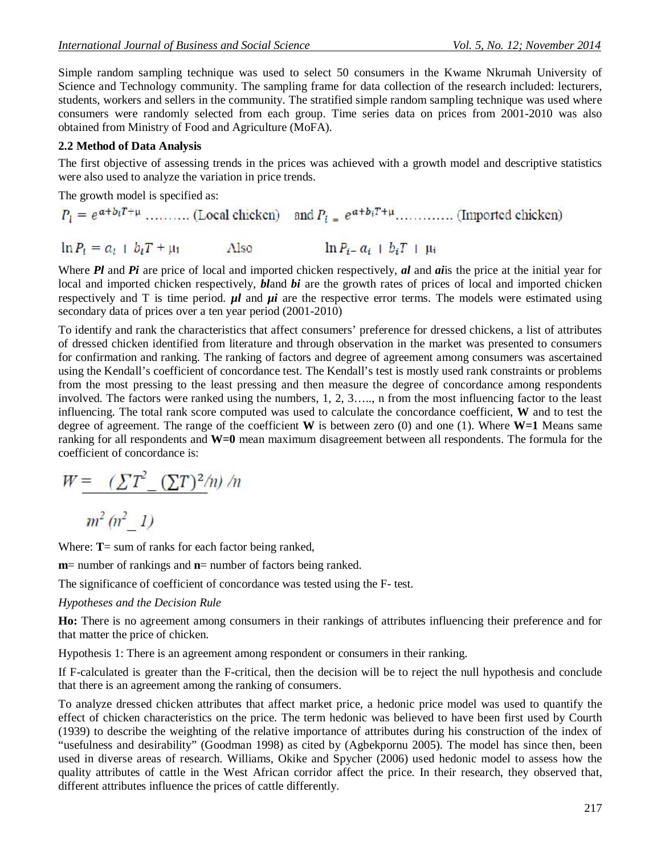Simple random sampling technique was used to select 50 consumers in the Kwame Nkrumah University of Science and Technology community. The sampling frame for data collection of the research included: lecturers, students, workers and sellers in the community. The stratified simple random sampling technique was used where consumers were randomly selected from each group. Time series data on prices from 2001-2010 was also obtained from Ministry of Food and Agriculture (MoFA).

# **2.2 Method of Data Analysis**

The first objective of assessing trends in the prices was achieved with a growth model and descriptive statistics were also used to analyze the variation in price trends.

The growth model is specified as:

$$
P_l = e^{\alpha + b_l T + \mu} \dots \dots \dots \text{ (Local chicken)} \quad \text{and } P_l = e^{\alpha + b_l T + \mu} \dots \dots \dots \dots \text{ (Imported chicken)}
$$
\n
$$
\ln P_l = a_l + b_l T + \mu_1 \qquad \text{Also} \qquad \ln P_{l-} a_l + b_l T + \mu_l
$$

Where *Pl* and *Pi* are price of local and imported chicken respectively, *al* and *ai*is the price at the initial year for local and imported chicken respectively, *bl*and *bi* are the growth rates of prices of local and imported chicken respectively and T is time period.  $\mu l$  and  $\mu i$  are the respective error terms. The models were estimated using secondary data of prices over a ten year period (2001-2010)

To identify and rank the characteristics that affect consumers' preference for dressed chickens, a list of attributes of dressed chicken identified from literature and through observation in the market was presented to consumers for confirmation and ranking. The ranking of factors and degree of agreement among consumers was ascertained using the Kendall's coefficient of concordance test. The Kendall's test is mostly used rank constraints or problems from the most pressing to the least pressing and then measure the degree of concordance among respondents involved. The factors were ranked using the numbers, 1, 2, 3….., n from the most influencing factor to the least influencing. The total rank score computed was used to calculate the concordance coefficient, **W** and to test the degree of agreement. The range of the coefficient **W** is between zero (0) and one (1). Where **W=1** Means same ranking for all respondents and **W=0** mean maximum disagreement between all respondents. The formula for the coefficient of concordance is:

$$
W = \left(\sum T^2 - (\sum T)^2/n\right)/n
$$

 $m^2(n^2)$  1)

Where: **T**= sum of ranks for each factor being ranked,

**m**= number of rankings and **n**= number of factors being ranked.

The significance of coefficient of concordance was tested using the F- test.

### *Hypotheses and the Decision Rule*

**Ho:** There is no agreement among consumers in their rankings of attributes influencing their preference and for that matter the price of chicken.

Hypothesis 1: There is an agreement among respondent or consumers in their ranking.

If F-calculated is greater than the F-critical, then the decision will be to reject the null hypothesis and conclude that there is an agreement among the ranking of consumers.

To analyze dressed chicken attributes that affect market price, a hedonic price model was used to quantify the effect of chicken characteristics on the price. The term hedonic was believed to have been first used by Courth (1939) to describe the weighting of the relative importance of attributes during his construction of the index of "usefulness and desirability" (Goodman 1998) as cited by (Agbekpornu 2005). The model has since then, been used in diverse areas of research. Williams, Okike and Spycher (2006) used hedonic model to assess how the quality attributes of cattle in the West African corridor affect the price. In their research, they observed that, different attributes influence the prices of cattle differently.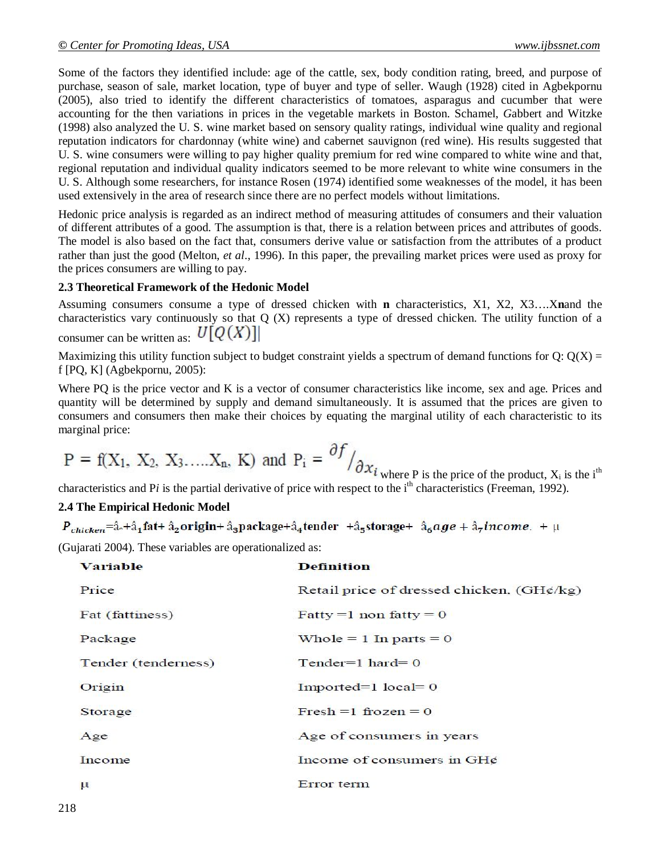Some of the factors they identified include: age of the cattle, sex, body condition rating, breed, and purpose of purchase, season of sale, market location, type of buyer and type of seller. Waugh (1928) cited in Agbekpornu (2005), also tried to identify the different characteristics of tomatoes, asparagus and cucumber that were accounting for the then variations in prices in the vegetable markets in Boston. Schamel, *G*abbert and Witzke (1998) also analyzed the U. S. wine market based on sensory quality ratings, individual wine quality and regional reputation indicators for chardonnay (white wine) and cabernet sauvignon (red wine). His results suggested that U. S. wine consumers were willing to pay higher quality premium for red wine compared to white wine and that, regional reputation and individual quality indicators seemed to be more relevant to white wine consumers in the U. S. Although some researchers, for instance Rosen (1974) identified some weaknesses of the model, it has been used extensively in the area of research since there are no perfect models without limitations.

Hedonic price analysis is regarded as an indirect method of measuring attitudes of consumers and their valuation of different attributes of a good. The assumption is that, there is a relation between prices and attributes of goods. The model is also based on the fact that, consumers derive value or satisfaction from the attributes of a product rather than just the good (Melton, *et al*., 1996). In this paper, the prevailing market prices were used as proxy for the prices consumers are willing to pay.

#### **2.3 Theoretical Framework of the Hedonic Model**

Assuming consumers consume a type of dressed chicken with **n** characteristics, X1, X2, X3….X**n**and the characteristics vary continuously so that Q (X) represents a type of dressed chicken. The utility function of a consumer can be written as:  $U[Q(X)]$ 

Maximizing this utility function subject to budget constraint yields a spectrum of demand functions for  $Q: Q(X) =$ f [PQ, K] (Agbekpornu, 2005):

Where PQ is the price vector and K is a vector of consumer characteristics like income, sex and age. Prices and quantity will be determined by supply and demand simultaneously. It is assumed that the prices are given to consumers and consumers then make their choices by equating the marginal utility of each characteristic to its marginal price:

$$
P = f(X_1, X_2, X_3, \dots, X_n, K)
$$
 and  $P_i = \frac{\partial f}{\partial x_i}$  where P is the price of the product, X<sub>i</sub> is the i<sup>th</sup>

characteristics and P*i* is the partial derivative of price with respect to the i<sup>th</sup> characteristics (Freeman, 1992).

### **2.4 The Empirical Hedonic Model**

 $P_{chicken}$ =â<sub>°</sub>+â<sub>1</sub>fat+â<sub>2</sub>origin+â<sub>3</sub>package+â<sub>4</sub>tender +â<sub>5</sub>storage+ â<sub>6</sub>age + â<sub>7</sub>income. + µ

(Gujarati 2004). These variables are operationalized as:

| <b>Variable</b>     | <b>Definition</b>                         |
|---------------------|-------------------------------------------|
| Price               | Retail price of dressed chicken, (GH¢/kg) |
| Fat (fattiness)     | Fatty = 1 non fatty = $0$                 |
| Package             | Whole $= 1$ In parts $= 0$                |
| Tender (tenderness) | Tender= $1$ hard= $0$                     |
| Origin              | Imported= $1$ local= $0$                  |
| Storage             | Fresh $=1$ frozen $= 0$                   |
| Age                 | Age of consumers in years                 |
| Income              | Income of consumers in GH¢                |
| $\mu$               | Error term                                |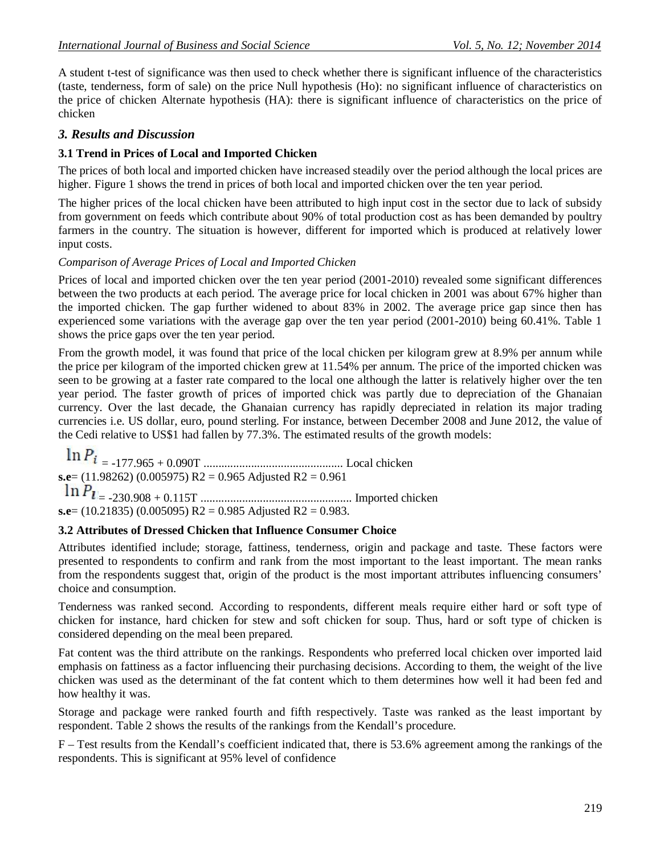A student t-test of significance was then used to check whether there is significant influence of the characteristics (taste, tenderness, form of sale) on the price Null hypothesis (Ho): no significant influence of characteristics on the price of chicken Alternate hypothesis (HA): there is significant influence of characteristics on the price of chicken

# *3. Results and Discussion*

### **3.1 Trend in Prices of Local and Imported Chicken**

The prices of both local and imported chicken have increased steadily over the period although the local prices are higher. Figure 1 shows the trend in prices of both local and imported chicken over the ten year period.

The higher prices of the local chicken have been attributed to high input cost in the sector due to lack of subsidy from government on feeds which contribute about 90% of total production cost as has been demanded by poultry farmers in the country. The situation is however, different for imported which is produced at relatively lower input costs.

### *Comparison of Average Prices of Local and Imported Chicken*

Prices of local and imported chicken over the ten year period (2001-2010) revealed some significant differences between the two products at each period. The average price for local chicken in 2001 was about 67% higher than the imported chicken. The gap further widened to about 83% in 2002. The average price gap since then has experienced some variations with the average gap over the ten year period (2001-2010) being 60.41%. Table 1 shows the price gaps over the ten year period.

From the growth model, it was found that price of the local chicken per kilogram grew at 8.9% per annum while the price per kilogram of the imported chicken grew at 11.54% per annum. The price of the imported chicken was seen to be growing at a faster rate compared to the local one although the latter is relatively higher over the ten year period. The faster growth of prices of imported chick was partly due to depreciation of the Ghanaian currency. Over the last decade, the Ghanaian currency has rapidly depreciated in relation its major trading currencies i.e. US dollar, euro, pound sterling. For instance, between December 2008 and June 2012, the value of the Cedi relative to US\$1 had fallen by 77.3%. The estimated results of the growth models:

= -177.965 + 0.090T ............................................... Local chicken **s.e**= (11.98262) (0.005975) R2 = 0.965 Adjusted R2 = 0.961 = -230.908 + 0.115T ................................................... Imported chicken **s.e**= (10.21835) (0.005095) R2 = 0.985 Adjusted R2 = 0.983.

### **3.2 Attributes of Dressed Chicken that Influence Consumer Choice**

Attributes identified include; storage, fattiness, tenderness, origin and package and taste. These factors were presented to respondents to confirm and rank from the most important to the least important. The mean ranks from the respondents suggest that, origin of the product is the most important attributes influencing consumers' choice and consumption.

Tenderness was ranked second. According to respondents, different meals require either hard or soft type of chicken for instance, hard chicken for stew and soft chicken for soup. Thus, hard or soft type of chicken is considered depending on the meal been prepared.

Fat content was the third attribute on the rankings. Respondents who preferred local chicken over imported laid emphasis on fattiness as a factor influencing their purchasing decisions. According to them, the weight of the live chicken was used as the determinant of the fat content which to them determines how well it had been fed and how healthy it was.

Storage and package were ranked fourth and fifth respectively. Taste was ranked as the least important by respondent. Table 2 shows the results of the rankings from the Kendall's procedure.

F – Test results from the Kendall's coefficient indicated that, there is 53.6% agreement among the rankings of the respondents. This is significant at 95% level of confidence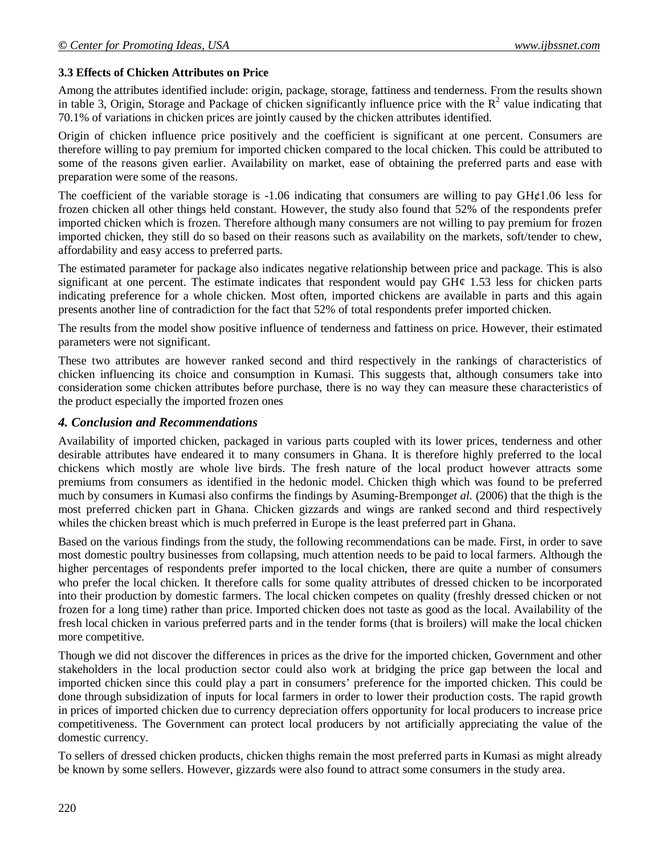### **3.3 Effects of Chicken Attributes on Price**

Among the attributes identified include: origin, package, storage, fattiness and tenderness. From the results shown in table 3, Origin, Storage and Package of chicken significantly influence price with the  $R^2$  value indicating that 70.1% of variations in chicken prices are jointly caused by the chicken attributes identified.

Origin of chicken influence price positively and the coefficient is significant at one percent. Consumers are therefore willing to pay premium for imported chicken compared to the local chicken. This could be attributed to some of the reasons given earlier. Availability on market, ease of obtaining the preferred parts and ease with preparation were some of the reasons.

The coefficient of the variable storage is  $-1.06$  indicating that consumers are willing to pay  $GH¢1.06$  less for frozen chicken all other things held constant. However, the study also found that 52% of the respondents prefer imported chicken which is frozen. Therefore although many consumers are not willing to pay premium for frozen imported chicken, they still do so based on their reasons such as availability on the markets, soft/tender to chew, affordability and easy access to preferred parts.

The estimated parameter for package also indicates negative relationship between price and package. This is also significant at one percent. The estimate indicates that respondent would pay  $GH\varphi$  1.53 less for chicken parts indicating preference for a whole chicken. Most often, imported chickens are available in parts and this again presents another line of contradiction for the fact that 52% of total respondents prefer imported chicken.

The results from the model show positive influence of tenderness and fattiness on price. However, their estimated parameters were not significant.

These two attributes are however ranked second and third respectively in the rankings of characteristics of chicken influencing its choice and consumption in Kumasi. This suggests that, although consumers take into consideration some chicken attributes before purchase, there is no way they can measure these characteristics of the product especially the imported frozen ones

### *4. Conclusion and Recommendations*

Availability of imported chicken, packaged in various parts coupled with its lower prices, tenderness and other desirable attributes have endeared it to many consumers in Ghana. It is therefore highly preferred to the local chickens which mostly are whole live birds. The fresh nature of the local product however attracts some premiums from consumers as identified in the hedonic model. Chicken thigh which was found to be preferred much by consumers in Kumasi also confirms the findings by Asuming-Brempong*et al.* (2006) that the thigh is the most preferred chicken part in Ghana. Chicken gizzards and wings are ranked second and third respectively whiles the chicken breast which is much preferred in Europe is the least preferred part in Ghana.

Based on the various findings from the study, the following recommendations can be made. First, in order to save most domestic poultry businesses from collapsing, much attention needs to be paid to local farmers. Although the higher percentages of respondents prefer imported to the local chicken, there are quite a number of consumers who prefer the local chicken. It therefore calls for some quality attributes of dressed chicken to be incorporated into their production by domestic farmers. The local chicken competes on quality (freshly dressed chicken or not frozen for a long time) rather than price. Imported chicken does not taste as good as the local. Availability of the fresh local chicken in various preferred parts and in the tender forms (that is broilers) will make the local chicken more competitive.

Though we did not discover the differences in prices as the drive for the imported chicken, Government and other stakeholders in the local production sector could also work at bridging the price gap between the local and imported chicken since this could play a part in consumers' preference for the imported chicken. This could be done through subsidization of inputs for local farmers in order to lower their production costs. The rapid growth in prices of imported chicken due to currency depreciation offers opportunity for local producers to increase price competitiveness. The Government can protect local producers by not artificially appreciating the value of the domestic currency.

To sellers of dressed chicken products, chicken thighs remain the most preferred parts in Kumasi as might already be known by some sellers. However, gizzards were also found to attract some consumers in the study area.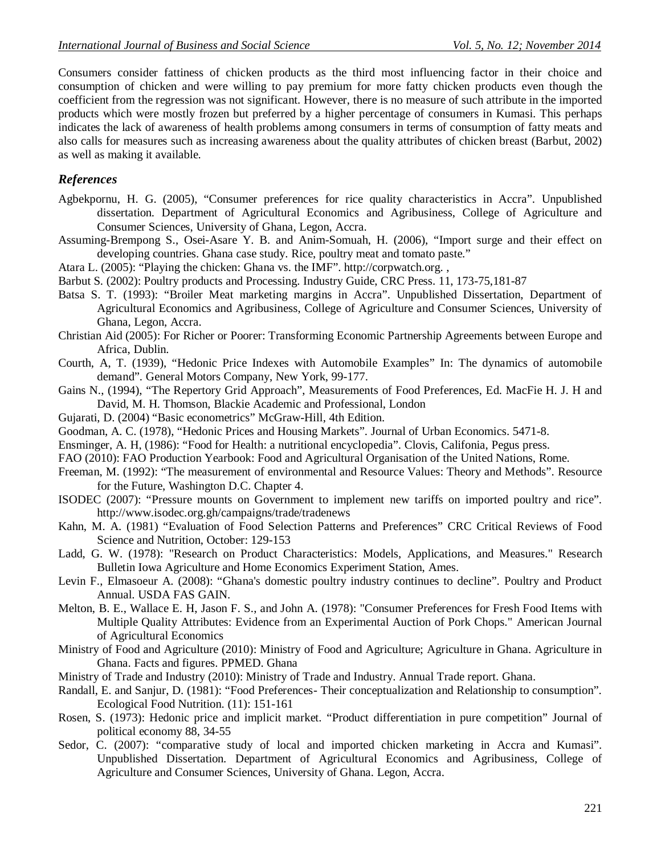Consumers consider fattiness of chicken products as the third most influencing factor in their choice and consumption of chicken and were willing to pay premium for more fatty chicken products even though the coefficient from the regression was not significant. However, there is no measure of such attribute in the imported products which were mostly frozen but preferred by a higher percentage of consumers in Kumasi. This perhaps indicates the lack of awareness of health problems among consumers in terms of consumption of fatty meats and also calls for measures such as increasing awareness about the quality attributes of chicken breast (Barbut, 2002) as well as making it available.

# *References*

- Agbekpornu, H. G. (2005), "Consumer preferences for rice quality characteristics in Accra". Unpublished dissertation. Department of Agricultural Economics and Agribusiness, College of Agriculture and Consumer Sciences, University of Ghana, Legon, Accra.
- Assuming-Brempong S., Osei-Asare Y. B. and Anim-Somuah, H. (2006), "Import surge and their effect on developing countries. Ghana case study. Rice, poultry meat and tomato paste."
- Atara L. (2005): "Playing the chicken: Ghana vs. the IMF". http://corpwatch.org. ,
- Barbut S. (2002): Poultry products and Processing. Industry Guide, CRC Press. 11, 173-75,181-87
- Batsa S. T. (1993): "Broiler Meat marketing margins in Accra". Unpublished Dissertation, Department of Agricultural Economics and Agribusiness, College of Agriculture and Consumer Sciences, University of Ghana, Legon, Accra.
- Christian Aid (2005): For Richer or Poorer: Transforming Economic Partnership Agreements between Europe and Africa, Dublin.
- Courth, A, T. (1939), "Hedonic Price Indexes with Automobile Examples" In: The dynamics of automobile demand". General Motors Company, New York, 99-177.
- Gains N., (1994), "The Repertory Grid Approach", Measurements of Food Preferences, Ed. MacFie H. J. H and David, M. H. Thomson, Blackie Academic and Professional, London
- Gujarati, D. (2004) "Basic econometrics" McGraw-Hill, 4th Edition.
- Goodman, A. C. (1978), "Hedonic Prices and Housing Markets". Journal of Urban Economics. 5471-8.
- Ensminger, A. H, (1986): "Food for Health: a nutritional encyclopedia". Clovis, Califonia, Pegus press.
- FAO (2010): FAO Production Yearbook: Food and Agricultural Organisation of the United Nations, Rome.
- Freeman, M. (1992): "The measurement of environmental and Resource Values: Theory and Methods". Resource for the Future, Washington D.C. Chapter 4.
- ISODEC (2007): "Pressure mounts on Government to implement new tariffs on imported poultry and rice". http://www.isodec.org.gh/campaigns/trade/tradenews
- Kahn, M. A. (1981) "Evaluation of Food Selection Patterns and Preferences" CRC Critical Reviews of Food Science and Nutrition, October: 129-153
- Ladd, G. W. (1978): "Research on Product Characteristics: Models, Applications, and Measures." Research Bulletin Iowa Agriculture and Home Economics Experiment Station, Ames.
- Levin F., Elmasoeur A. (2008): "Ghana's domestic poultry industry continues to decline". Poultry and Product Annual. USDA FAS GAIN.
- Melton, B. E., Wallace E. H, Jason F. S., and John A. (1978): "Consumer Preferences for Fresh Food Items with Multiple Quality Attributes: Evidence from an Experimental Auction of Pork Chops." American Journal of Agricultural Economics
- Ministry of Food and Agriculture (2010): Ministry of Food and Agriculture; Agriculture in Ghana. Agriculture in Ghana. Facts and figures. PPMED. Ghana
- Ministry of Trade and Industry (2010): Ministry of Trade and Industry. Annual Trade report. Ghana.
- Randall, E. and Sanjur, D. (1981): "Food Preferences- Their conceptualization and Relationship to consumption". Ecological Food Nutrition. (11): 151-161
- Rosen, S. (1973): Hedonic price and implicit market. "Product differentiation in pure competition" Journal of political economy 88, 34-55
- Sedor, C. (2007): "comparative study of local and imported chicken marketing in Accra and Kumasi". Unpublished Dissertation. Department of Agricultural Economics and Agribusiness, College of Agriculture and Consumer Sciences, University of Ghana. Legon, Accra.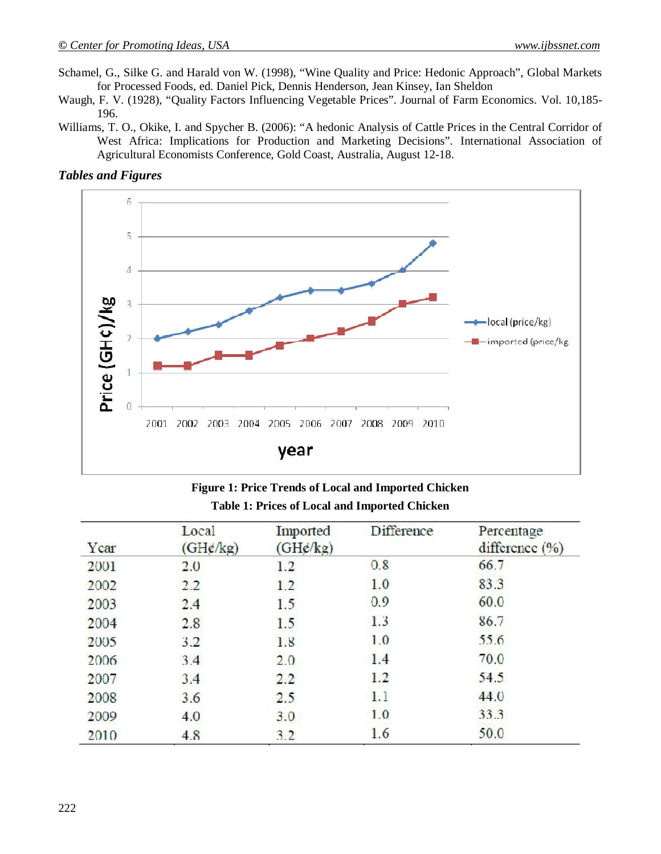- Schamel, G., Silke G. and Harald von W. (1998), "Wine Quality and Price: Hedonic Approach", Global Markets for Processed Foods, ed. Daniel Pick, Dennis Henderson, Jean Kinsey, Ian Sheldon
- Waugh, F. V. (1928), "Quality Factors Influencing Vegetable Prices". Journal of Farm Economics. Vol. 10,185- 196.
- Williams, T. O., Okike, I. and Spycher B. (2006): "A hedonic Analysis of Cattle Prices in the Central Corridor of West Africa: Implications for Production and Marketing Decisions". International Association of Agricultural Economists Conference, Gold Coast, Australia, August 12-18.

#### *Tables and Figures*



| <b>Figure 1: Price Trends of Local and Imported Chicken</b> |  |
|-------------------------------------------------------------|--|
| <b>Table 1: Prices of Local and Imported Chicken</b>        |  |

| Ycar | Local<br>(GHg/kg) | Imported<br>(GHg/kg) | <b>Difference</b> | Percentage<br>difference $(\%)$ |
|------|-------------------|----------------------|-------------------|---------------------------------|
| 2001 | 2.0               | 1.2                  | 0.8               | 66.7                            |
| 2002 | 2.2               | 1.2                  | 1.0               | 83.3                            |
| 2003 | 2.4               | 1.5                  | 0.9               | 60.0                            |
| 2004 | 2.8               | 1.5                  | 1.3               | 86.7                            |
| 2005 | 3.2               | 1.8                  | 1.0               | 55.6                            |
| 2006 | 3.4               | 2.0                  | 1.4               | 70.0                            |
| 2007 | 3.4               | 2.2                  | 1.2               | 54.5                            |
| 2008 | 3.6               | 2.5                  | 1.1               | 44.0                            |
| 2009 | 4.0               | 3.0                  | 1.0               | 33.3                            |
| 2010 | 4.8               | 3.2                  | 1.6               | 50.0                            |